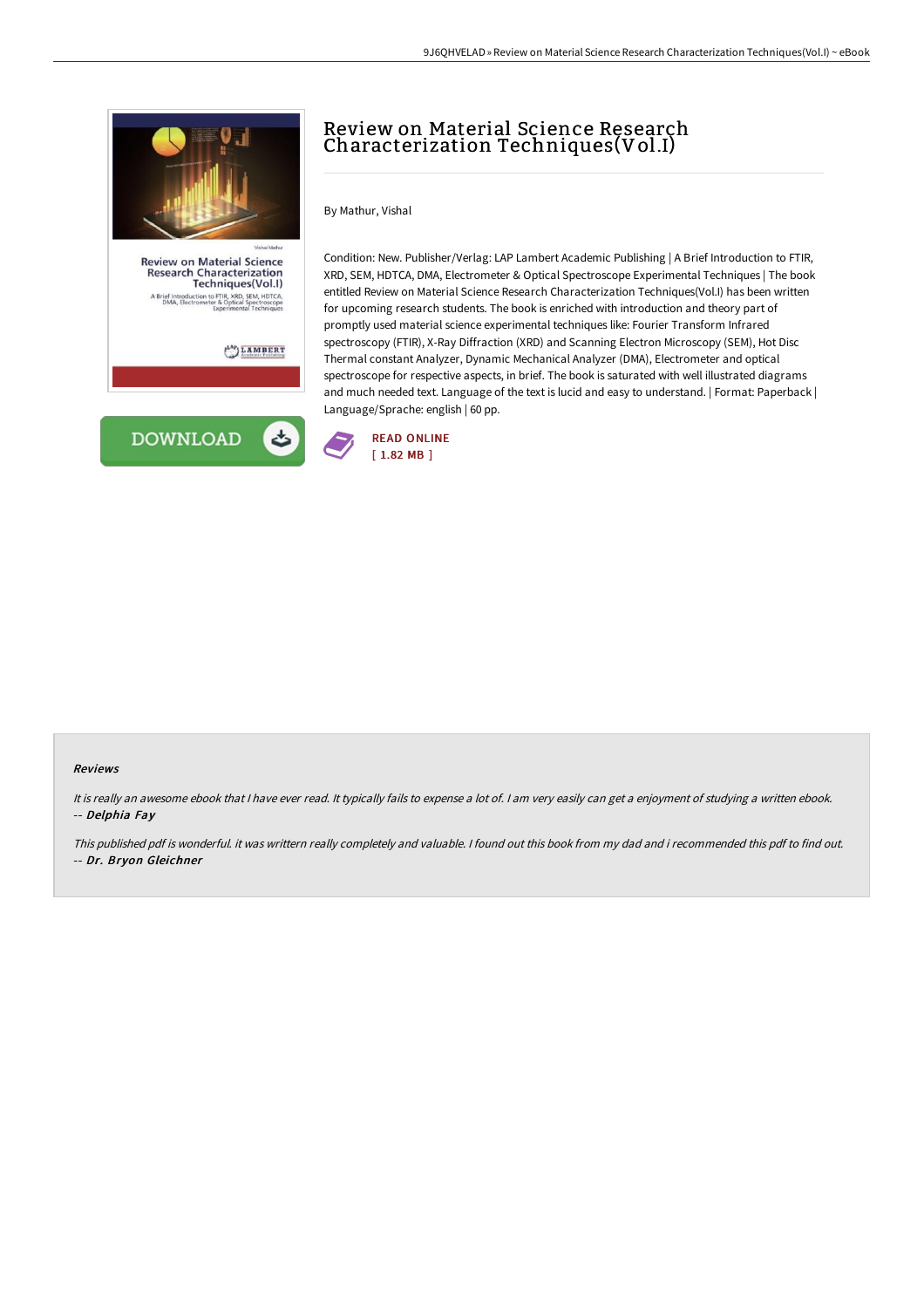

## **Review on Material Science** Research Characterization<br>Techniques(Vol.I) **Desertion to FTIR, XRD, SEM, HDTCA**<br>Sectrometer & Optical Spectroscope<br>Experimental Techniques rief In

 $\frac{1}{2}$ LAMBERT



## Review on Material Science Research Characterization Techniques(Vol.I)

By Mathur, Vishal

Condition: New. Publisher/Verlag: LAP Lambert Academic Publishing | A Brief Introduction to FTIR, XRD, SEM, HDTCA, DMA, Electrometer & Optical Spectroscope Experimental Techniques | The book entitled Review on Material Science Research Characterization Techniques(Vol.I) has been written for upcoming research students. The book is enriched with introduction and theory part of promptly used material science experimental techniques like: Fourier Transform Infrared spectroscopy (FTIR), X-Ray Diffraction (XRD) and Scanning Electron Microscopy (SEM), Hot Disc Thermal constant Analyzer, Dynamic Mechanical Analyzer (DMA), Electrometer and optical spectroscope for respective aspects, in brief. The book is saturated with well illustrated diagrams and much needed text. Language of the text is lucid and easy to understand. | Format: Paperback | Language/Sprache: english | 60 pp.



## Reviews

It is really an awesome ebook that <sup>I</sup> have ever read. It typically fails to expense <sup>a</sup> lot of. <sup>I</sup> am very easily can get <sup>a</sup> enjoyment of studying <sup>a</sup> written ebook. -- Delphia Fay

This published pdf is wonderful. it was writtern really completely and valuable. I found out this book from my dad and i recommended this pdf to find out. -- Dr. Bryon Gleichner